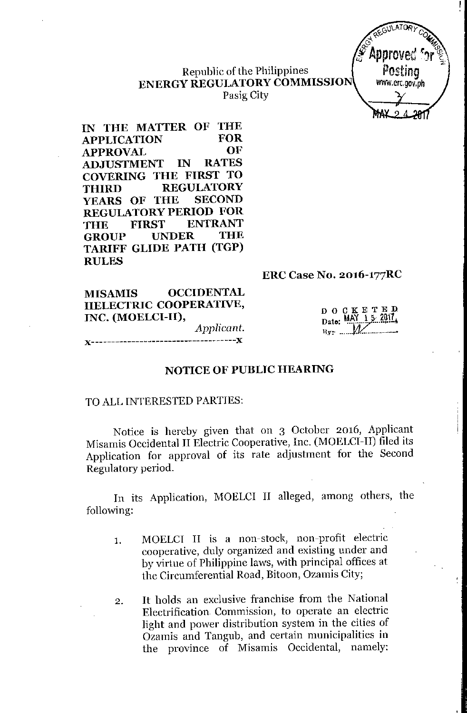# Republic of the Philippines **ENERGY REGULATORYCOMMISSIO**



Pasig City

**IN THE MATTER OF THE APPLICATION FOR APPROVAL OF ADJUSTMENT IN COVERING THE FIRST TO THIRD REGUlATORY YEARS OF THE SECOND REGULATORYPERIOD FOR THE FIRST ENTRANT GROUP UNDER TARIFF GLIDE PATH (TGP) RULES**

#### **ERC Case No. 2016-177RC**

**MISAMIS OCCIDENTAL IIELECTRIC COOPERATIVE, INC. (MOELCI-I1),** *Applicant.* **J(------------------------------------J(**

 $\frac{D\quad O \ C K E T E D}{Data: \frac{MAN}{12} \times \frac{2017}{201}}$  $Byr_{max}$ 

# **NOTICE OF PUBLIC HEARING**

#### TO ALLINTERESTED PARTIES:

Notice is hereby given that on 3 October 2016, Applicant Misamis Occidental II Electric Cooperative, Inc. (MOELCI-II) filed its Application for approval of its rate adjustment for the Second Regulatory period.

In its Application, MOELCI II alleged, among others, the following:

- 1. MOELCI II is a non-stock, non-profit electric cooperative, duly organized and existing under and by virtue of Philippine laws, with principal offices at the Circumferential Road, Bitoon, Ozamis City;
- 2. It holds an exclusive franchise from the National Electrification Commission, to operate an electric light and power distribution system in the cities of Ozamis and Tangub, and certain municipalities in the province of Misamis Occidental, namely: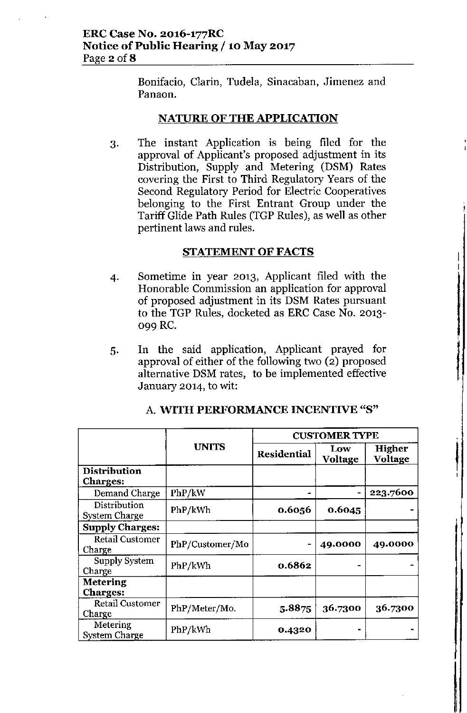### ERC Case No. 2016-177RC Notice of Public Hearing / 10 May 2017 Page  $2$  of  $8$

Bonifacio, Clarin, Tudela, Sinacaban, Jimenez and Panaon.

### NATURE OF THE APPLICATION

3. The instant Application is being filed for the approval of Applicant's proposed adjustment in its Distribution, Supply and Metering (DSM) Rates covering the First to Third Regulatory Years of the Second Regulatory Period for Electric Cooperatives belonging to the First Entrant Group under the Tariff Glide Path Rules (TGP Rules), as well as other pertinent laws and rules.

### STATEMENT OF FACTS

- 4. Sometime in year 2013, Applicant filed with the Honorable Commission an application for approval of proposed adjustment in its DSM Rates pursuant to the TGP Rules, docketed as ERC Case No. 2013- 099 RC.
- 5. In the said application, Applicant prayed for approval of either of the following two (2) proposed alternative DSM rates, to be implemented effective January 2014, to wit:

|                                        |                 | <b>CUSTOMER TYPE</b> |                |                   |
|----------------------------------------|-----------------|----------------------|----------------|-------------------|
|                                        | <b>UNITS</b>    | Residential          | Low<br>Voltage | Higher<br>Voltage |
| <b>Distribution</b><br><b>Charges:</b> |                 |                      |                |                   |
| Demand Charge                          | PhP/kW          |                      |                | 223.7600          |
| Distribution<br><b>System Charge</b>   | PhP/kWh         | 0.6056               | 0.6045         |                   |
| <b>Supply Charges:</b>                 |                 |                      |                |                   |
| <b>Retail Customer</b><br>Charge       | PhP/Customer/Mo |                      | 49.0000        | 49.0000           |
| Supply System<br>Charge                | PhP/kWh         | 0.6862               |                |                   |
| <b>Metering</b><br><b>Charges:</b>     |                 |                      |                |                   |
| Retail Customer<br>Charge              | PhP/Meter/Mo.   | 5.8875               | 36.7300        | 36.7300           |
| Metering<br><b>System Charge</b>       | PhP/kWh         | 0.4320               |                |                   |

#### A. WITH PERFORMANCE INCENTIVE "S"

i<br>I<br>I<br>I

 $\mathfrak{l}$ 

;<br>I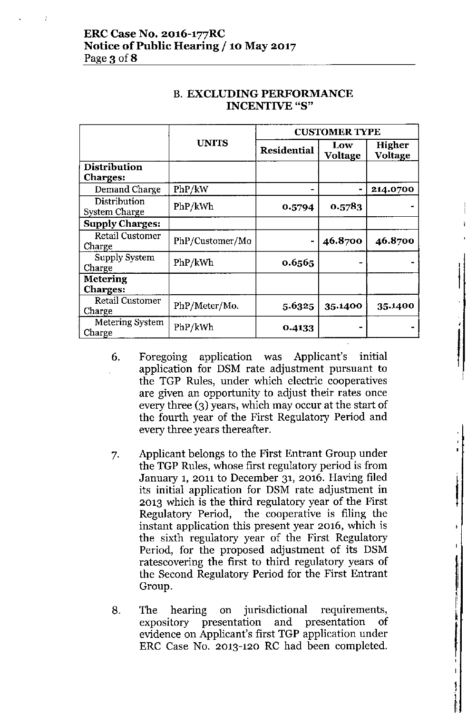# ERC Case No. 2016-177RC Notice of Public Hearing /10 May 2017 Page 3 of 8

|                                        | <b>UNITS</b>    | <b>CUSTOMER TYPE</b> |                |                   |  |
|----------------------------------------|-----------------|----------------------|----------------|-------------------|--|
|                                        |                 | <b>Residential</b>   | Low<br>Voltage | Higher<br>Voltage |  |
| <b>Distribution</b><br><b>Charges:</b> |                 |                      |                |                   |  |
| Demand Charge                          | PhP/kW          |                      |                | 214.0700          |  |
| Distribution<br><b>System Charge</b>   | PhP/kWh         | 0.5794               | 0.5783         |                   |  |
| <b>Supply Charges:</b>                 |                 |                      |                |                   |  |
| <b>Retail Customer</b><br>Charge       | PhP/Customer/Mo |                      | 46.8700        | 46.8700           |  |
| Supply System<br>Charge                | PhP/kWh         | 0.6565               |                |                   |  |
| Metering<br><b>Charges:</b>            |                 |                      |                |                   |  |
| <b>Retail Customer</b><br>Charge       | PhP/Meter/Mo.   | 5.6325               | 35.1400        | 35.1400           |  |
| Metering System<br>Charge              | PhP/kWh         | 0.4133               |                |                   |  |

j

|<br>|<br>|<br>|

||<br>|<br>|

i<br>Indonésia<br>Indonésia

I' i

|<br>|<br>|<br>|

ا ا

i<br>II

### B. EXCLUDING PERFORMANCE INCENTIVE "8"

- 6. Foregoing application was Applicant's initial application for DSM rate adjustment pursuant to the TGP Rules, under which electric cooperatives are given an opportunity to adjust their rates once every three (3) years, which may occur at the start of the fourth year of the First Regulatory Period and every three years thereafter.
- 7. Applicant belongs to the First Entrant Group under the TGP Rules, whose first regulatory period is from January 1, 2011 to December 31, 2016. Having filed its initial application for DSM rate adjustment in 2013 which is the third regulatory year of the First Regulatory Period, the cooperative is filing the instant application this present year 2016, which is the sixth regulatory year of the First Regulatory Period, for the proposed adjustment of its DSM ratescovering the first to third regulatory years of the Second Regulatory Period for the First Entrant Group.
- 8. The hearing on jurisdictional requirements, expository presentation and presentation of evidence on Applicant's first TGP application under ERC Case No. 2013-120 RC had been completed.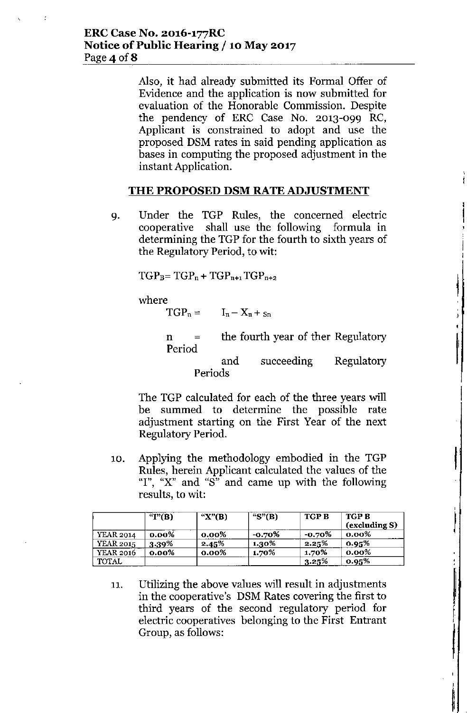Also, it had already submitted its Formal Offer of Evidence and the application is now submitted for evaluation of the Honorable Commission. Despite the pendency of ERC Case No. 2013-099 RC, Applicant is constrained to adopt and use the proposed DSM rates in said pending application as bases in computing the proposed adjustment in the instant Application.

# **THE PROPOSED DSM RATEADJUSTMENT**

9. Under the TGP Rules, the concerned electric cooperative shall use the following formula in determining the TGP for the fourth to sixth years of the Regulatory Period, to wit:

 $TGP_B = TGP_n + TGP_{n+1}TGP_{n+2}$ 

where

 $TGP_n = I_n - X_n + s_n$ 

n = the fourth year of ther Regulatory Period

and Periods succeeding Regulatory |<br>|<br>|

)

|<br>|<br>|

,

 $\mathbf{l}% =\mathbf{l}_{\mathbf{r}}\mathbf{v}$ 

**II**<br>I<br>I

I,

||<br>||<br>|

j

The TGP calculated for each of the three years will be summed to determine the possible rate adjustment starting on the First Year of the next Regulatory Period.

10. Applying the methodology embodied in the TGP Rules, herein Applicant calculated the values of the **"I", "X" and "8" and came up with the following** results, to wit:

|                  | " $I"(B)$ | " $X$ "(B) | " $S$ " $(B)$ | TGP B     | TGP B<br>(excluding S) |
|------------------|-----------|------------|---------------|-----------|------------------------|
| <b>YEAR 2014</b> | $0.00\%$  | $0.00\%$   | $-0.70\%$     | $-0.70\%$ | $0.00\%$               |
| <b>YEAR 2015</b> | 3.39%     | 2.45%      | 1.30%         | 2.25%     | $0.95\%$               |
| <b>YEAR 2016</b> | $0.00\%$  | $0.00\%$   | 1.70%         | 1.70%     | $0.00\%$               |
| <b>TOTAL</b>     |           |            |               | 3.25%     | 0.95%                  |

11. Utilizing the above values will result in adjustments in the cooperative's DSM Rates covering the first to third years of the second regulatory period for electric cooperatives belonging to the First Entrant Group, as follows: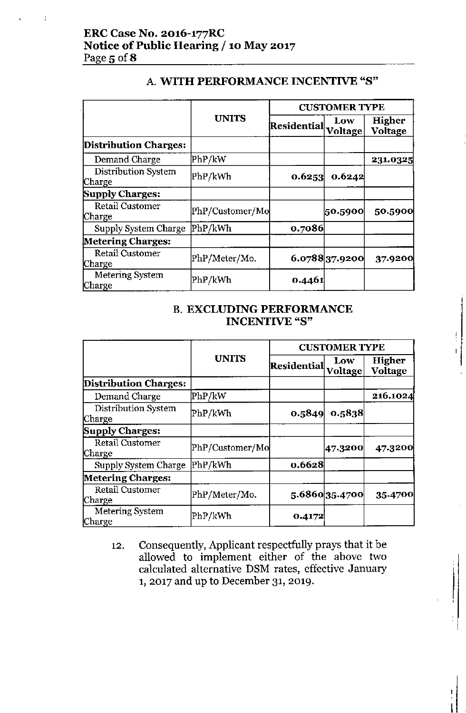# ERC Case No. 2016-177RC Notice of Public Hearing / 10 May 2017 Page 5 of 8

|                                  |                 | <b>CUSTOMER TYPE</b> |                |                          |
|----------------------------------|-----------------|----------------------|----------------|--------------------------|
|                                  | <b>UNITS</b>    | Residential          | Low<br>Voltage | Higher<br><b>Voltage</b> |
| <b>Distribution Charges:</b>     |                 |                      |                |                          |
| Demand Charge                    | PhP/kW          |                      |                | 231.0325                 |
| Distribution System<br>Charge    | PhP/kWh         | 0.6253               | 0.6242         |                          |
| <b>Supply Charges:</b>           |                 |                      |                |                          |
| Retail Customer<br>Charge        | PhP/Customer/Mo |                      | 50.5900        | 50.5900                  |
| Supply System Charge             | PhP/kWh         | 0.7086               |                |                          |
| Metering Charges:                |                 |                      |                |                          |
| <b>Retail Customer</b><br>Charge | PhP/Meter/Mo.   |                      | 6.0788 37.9200 | 37.9200                  |
| <b>Metering System</b><br>Charge | PhP/kWh         | 0.4461               |                |                          |

# A. WITH PERFORMANCE INCENTIVE "8"

# B. EXCLUDING PERFORMANCE INCENTIVE "8"

|                                  | <b>UNITS</b>    | <b>CUSTOMER TYPE</b> |                |                                 |
|----------------------------------|-----------------|----------------------|----------------|---------------------------------|
|                                  |                 | Residential Voltage  | Low            | <b>Higher</b><br><b>Voltage</b> |
| Distribution Charges:            |                 |                      |                |                                 |
| Demand Charge                    | PhP/kW          |                      |                | 216.1024                        |
| Distribution System<br>Charge    | PhP/kWh         | 0.5849               | 0.5838         |                                 |
| <b>Supply Charges:</b>           |                 |                      |                |                                 |
| Retail Customer<br>Charge        | PhP/Customer/Mo |                      | 47.3200        | 47.3200                         |
| Supply System Charge             | PhP/kWh         | 0.6628               |                |                                 |
| <b>Metering Charges:</b>         |                 |                      |                |                                 |
| <b>Retail Customer</b><br>Charge | PhP/Meter/Mo.   |                      | 5.6860 35.4700 | 35.4700                         |
| <b>Metering System</b><br>Charge | PhP/kWh         | 0.4172               |                |                                 |

12. Consequently, Applicant respectfully prays that it be allowed to implement either of the above two calculated alternative DSM rates, effective January 1,2017 and up to December 31,2019.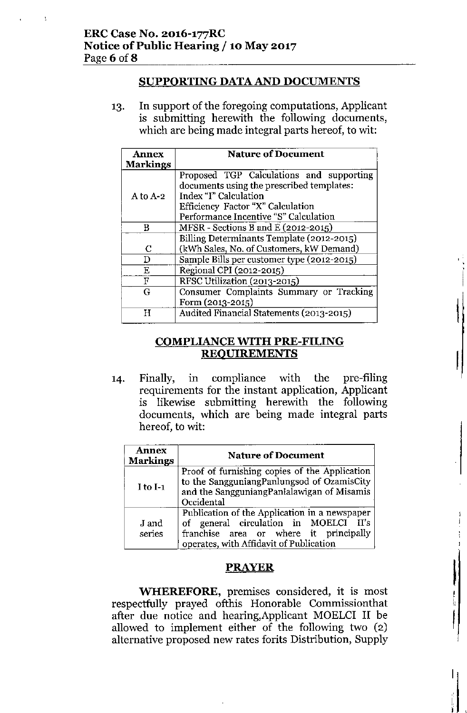### SUPPORTING DATA AND DOCUMENTS

13. In support of the foregoing computations, Applicant is submitting herewith the following documents, which are being made integral parts hereof, to wit:

| Annex<br><b>Markings</b> | <b>Nature of Document</b>                                                                                                                                                                    |
|--------------------------|----------------------------------------------------------------------------------------------------------------------------------------------------------------------------------------------|
| A to $A-2$               | Proposed TGP Calculations and supporting<br>documents using the prescribed templates:<br>Index "I" Calculation<br>Efficiency Factor "X" Calculation<br>Performance Incentive "S" Calculation |
| в                        | MFSR - Sections B and E (2012-2015)                                                                                                                                                          |
|                          | Billing Determinants Template (2012-2015)                                                                                                                                                    |
| С                        | (kWh Sales, No. of Customers, kW Demand)                                                                                                                                                     |
| D                        | Sample Bills per customer type (2012-2015)                                                                                                                                                   |
| Ε                        | Regional CPI (2012-2015)                                                                                                                                                                     |
| F                        | RFSC Utilization (2013-2015)                                                                                                                                                                 |
| G                        | Consumer Complaints Summary or Tracking<br>Form (2013-2015)                                                                                                                                  |
| H                        | Audited Financial Statements (2013-2015)                                                                                                                                                     |

I

l<br>|<br>|

|<br>|<br>|

I , Ii

I l<br>I

# COMPLIANCE WITH PRE-FILING REQUIREMENTS

14. Finally, in compliance with the pre-filing requirements for the instant application, Applicant is likewise submitting herewith the following documents, which are being made integral parts hereof, to wit:

| <b>Annex</b><br><b>Markings</b> | <b>Nature of Document</b>                                                                                                                                                   |  |  |
|---------------------------------|-----------------------------------------------------------------------------------------------------------------------------------------------------------------------------|--|--|
| I to $I-1$                      | Proof of furnishing copies of the Application<br>to the SangguniangPanlungsod of OzamisCity<br>and the SangguniangPanlalawigan of Misamis<br>Occidental                     |  |  |
| J and<br>series                 | Publication of the Application in a newspaper<br>of general circulation in MOELCI II's<br>franchise area or where it principally<br>operates, with Affidavit of Publication |  |  |

## PRAYER

WHEREFORE, premises considered, it is most respectfully prayed ofthis Honorable Commissionthat after due notice and hearing,Applicant MOELCI II be allowed to implement either of the following two (2) alternative proposed new rates forits Distribution, Supply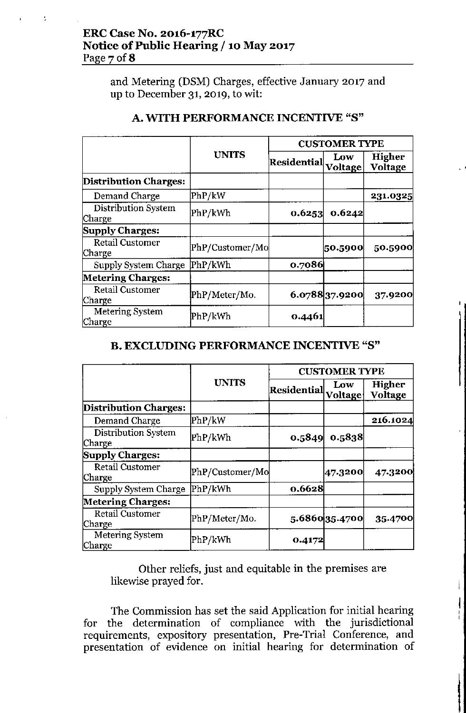# ERC Case No. 2016-177RC Notice of Public Hearing /10 May 2017 Page 7 of 8

and Metering (DSM) Charges, effective January 2017 and up to December 31, 2019, to wit:

|                                      | <b>UNITS</b>    | <b>CUSTOMER TYPE</b> |                |                                 |
|--------------------------------------|-----------------|----------------------|----------------|---------------------------------|
|                                      |                 | Residential Voltage  | Low            | <b>Higher</b><br><b>Voltage</b> |
| <b>Distribution Charges:</b>         |                 |                      |                |                                 |
| Demand Charge                        | PhP/kW          |                      |                | 231.0325                        |
| <b>Distribution System</b><br>Charge | PhP/kWh         | 0.6253               | 0.6242         |                                 |
| Supply Charges:                      |                 |                      |                |                                 |
| <b>Retail Customer</b><br>Charge     | PhP/Customer/Mo |                      | 50.5900        | 50.5900                         |
| Supply System Charge                 | PhP/kWh         | 0.7086               |                |                                 |
| <b>Metering Charges:</b>             |                 |                      |                |                                 |
| Retail Customer<br>Charge            | PhP/Meter/Mo.   |                      | 6.0788 37.9200 | 37.9200                         |
| Metering System<br>Charge            | PhP/kWh         | 0.4461               |                |                                 |

# A. WITH PERFORMANCE INCENTIVE "8"

. ,

Ł

# B. EXCLUDING PERFORMANCE INCENTIVE "8"

|                                  | <b>UNITS</b>    | <b>CUSTOMER TYPE</b> |                |                          |
|----------------------------------|-----------------|----------------------|----------------|--------------------------|
|                                  |                 | Residential Voltage  | Low            | <b>Higher</b><br>Voltage |
| <b>Distribution Charges:</b>     |                 |                      |                |                          |
| Demand Charge                    | PhP/kW          |                      |                | 216.1024                 |
| Distribution System<br>Charge    | PhP/kWh         | 0.5849               | 0.5838         |                          |
| Supply Charges:                  |                 |                      |                |                          |
| <b>Retail Customer</b><br>Charge | PhP/Customer/Mo |                      | 47.3200        | 47.3200                  |
| Supply System Charge             | PhP/kWh         | 0.6628               |                |                          |
| <b>Metering Charges:</b>         |                 |                      |                |                          |
| Retail Customer<br>Charge        | PhP/Meter/Mo.   |                      | 5.6860 35.4700 | 35.4700                  |
| Metering System<br>Charge        | PhP/kWh         | 0.4172               |                |                          |

Other reliefs, just and equitable in the premises are likewise prayed for.

The Commission has set the said Application for initial hearing for the determination of compliance with the jurisdictional requirements, expository presentation, Pre-Trial Conference, and presentation of evidence on initial hearing for determination of